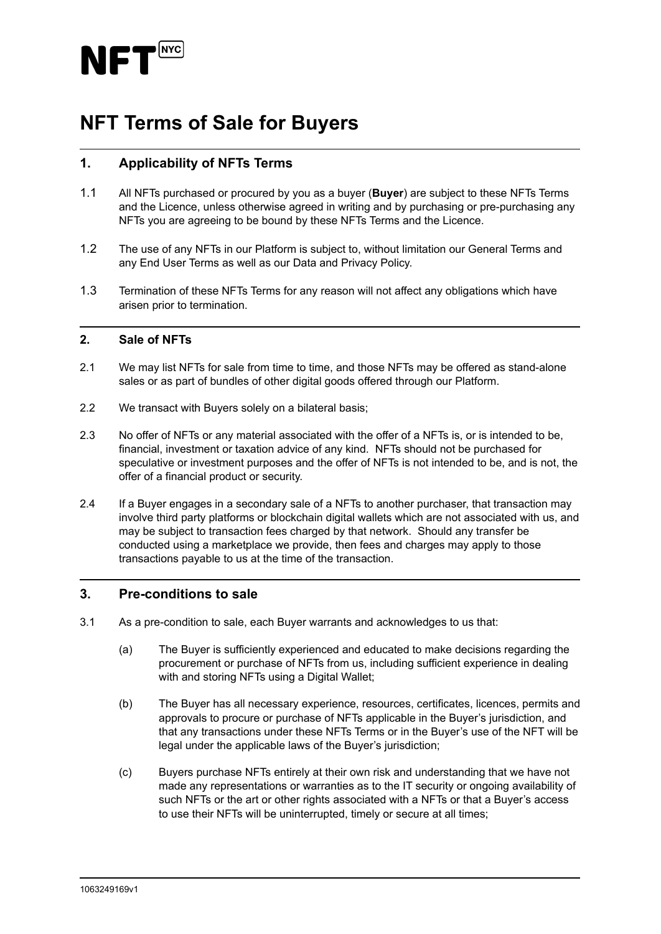

# **NFT Terms of Sale for Buyers**

## **1. Applicability of NFTs Terms**

- 1.1 All NFTs purchased or procured by you as a buyer (**Buyer**) are subject to these NFTs Terms and the Licence, unless otherwise agreed in writing and by purchasing or pre-purchasing any NFTs you are agreeing to be bound by these NFTs Terms and the Licence.
- 1.2 The use of any NFTs in our Platform is subject to, without limitation our General Terms and any End User Terms as well as our Data and Privacy Policy.
- 1.3 Termination of these NFTs Terms for any reason will not affect any obligations which have arisen prior to termination.

#### **2. Sale of NFTs**

- 2.1 We may list NFTs for sale from time to time, and those NFTs may be offered as stand-alone sales or as part of bundles of other digital goods offered through our Platform.
- 2.2 We transact with Buyers solely on a bilateral basis;
- 2.3 No offer of NFTs or any material associated with the offer of a NFTs is, or is intended to be, financial, investment or taxation advice of any kind. NFTs should not be purchased for speculative or investment purposes and the offer of NFTs is not intended to be, and is not, the offer of a financial product or security.
- 2.4 If a Buyer engages in a secondary sale of a NFTs to another purchaser, that transaction may involve third party platforms or blockchain digital wallets which are not associated with us, and may be subject to transaction fees charged by that network. Should any transfer be conducted using a marketplace we provide, then fees and charges may apply to those transactions payable to us at the time of the transaction.

## **3. Pre-conditions to sale**

- 3.1 As a pre-condition to sale, each Buyer warrants and acknowledges to us that:
	- (a) The Buyer is sufficiently experienced and educated to make decisions regarding the procurement or purchase of NFTs from us, including sufficient experience in dealing with and storing NFTs using a Digital Wallet;
	- (b) The Buyer has all necessary experience, resources, certificates, licences, permits and approvals to procure or purchase of NFTs applicable in the Buyer's jurisdiction, and that any transactions under these NFTs Terms or in the Buyer's use of the NFT will be legal under the applicable laws of the Buyer's jurisdiction;
	- (c) Buyers purchase NFTs entirely at their own risk and understanding that we have not made any representations or warranties as to the IT security or ongoing availability of such NFTs or the art or other rights associated with a NFTs or that a Buyer's access to use their NFTs will be uninterrupted, timely or secure at all times;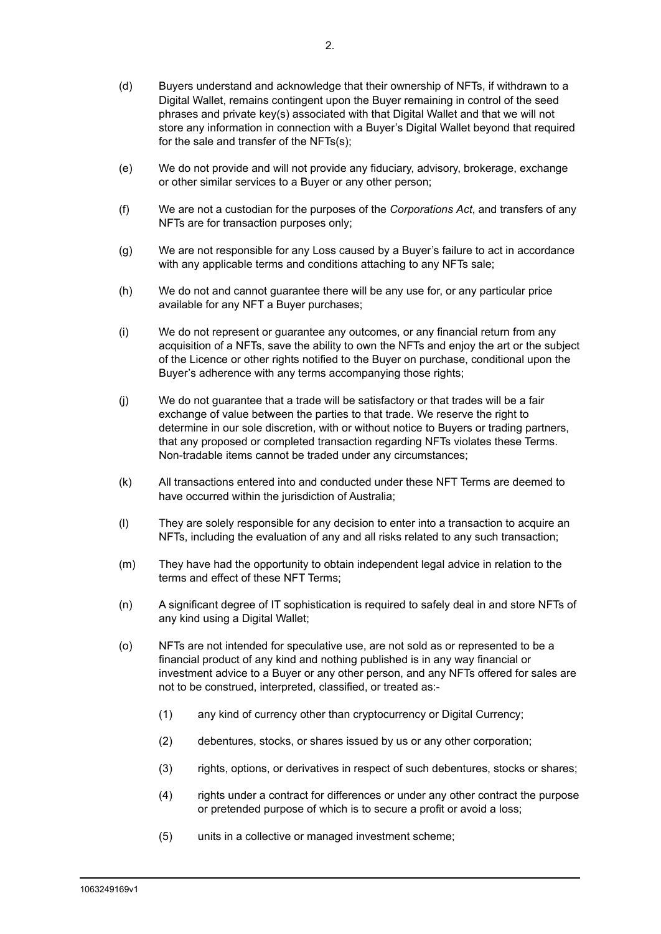- (d) Buyers understand and acknowledge that their ownership of NFTs, if withdrawn to a Digital Wallet, remains contingent upon the Buyer remaining in control of the seed phrases and private key(s) associated with that Digital Wallet and that we will not store any information in connection with a Buyer's Digital Wallet beyond that required for the sale and transfer of the NFTs(s);
- (e) We do not provide and will not provide any fiduciary, advisory, brokerage, exchange or other similar services to a Buyer or any other person;
- (f) We are not a custodian for the purposes of the *Corporations Act*, and transfers of any NFTs are for transaction purposes only;
- (g) We are not responsible for any Loss caused by a Buyer's failure to act in accordance with any applicable terms and conditions attaching to any NFTs sale;
- (h) We do not and cannot guarantee there will be any use for, or any particular price available for any NFT a Buyer purchases;
- (i) We do not represent or guarantee any outcomes, or any financial return from any acquisition of a NFTs, save the ability to own the NFTs and enjoy the art or the subject of the Licence or other rights notified to the Buyer on purchase, conditional upon the Buver's adherence with any terms accompanying those rights:
- (j) We do not guarantee that a trade will be satisfactory or that trades will be a fair exchange of value between the parties to that trade. We reserve the right to determine in our sole discretion, with or without notice to Buyers or trading partners, that any proposed or completed transaction regarding NFTs violates these Terms. Non-tradable items cannot be traded under any circumstances;
- (k) All transactions entered into and conducted under these NFT Terms are deemed to have occurred within the jurisdiction of Australia;
- (l) They are solely responsible for any decision to enter into a transaction to acquire an NFTs, including the evaluation of any and all risks related to any such transaction;
- (m) They have had the opportunity to obtain independent legal advice in relation to the terms and effect of these NFT Terms;
- (n) A significant degree of IT sophistication is required to safely deal in and store NFTs of any kind using a Digital Wallet;
- (o) NFTs are not intended for speculative use, are not sold as or represented to be a financial product of any kind and nothing published is in any way financial or investment advice to a Buyer or any other person, and any NFTs offered for sales are not to be construed, interpreted, classified, or treated as:-
	- (1) any kind of currency other than cryptocurrency or Digital Currency;
	- (2) debentures, stocks, or shares issued by us or any other corporation;
	- (3) rights, options, or derivatives in respect of such debentures, stocks or shares;
	- (4) rights under a contract for differences or under any other contract the purpose or pretended purpose of which is to secure a profit or avoid a loss;
	- (5) units in a collective or managed investment scheme;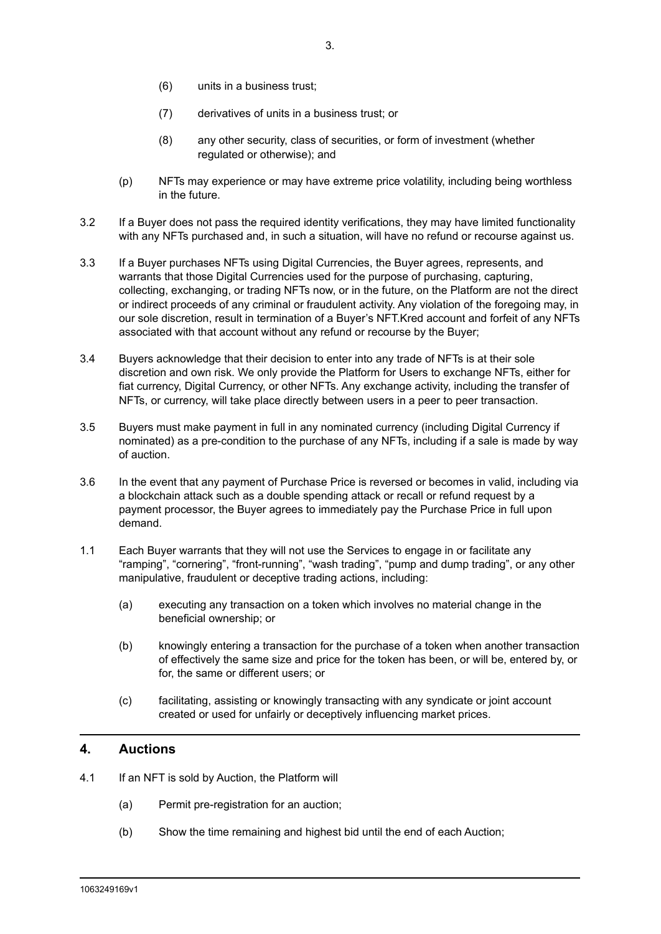- (6) units in a business trust;
- (7) derivatives of units in a business trust; or
- (8) any other security, class of securities, or form of investment (whether regulated or otherwise); and
- (p) NFTs may experience or may have extreme price volatility, including being worthless in the future.
- 3.2 If a Buyer does not pass the required identity verifications, they may have limited functionality with any NFTs purchased and, in such a situation, will have no refund or recourse against us.
- 3.3 If a Buyer purchases NFTs using Digital Currencies, the Buyer agrees, represents, and warrants that those Digital Currencies used for the purpose of purchasing, capturing, collecting, exchanging, or trading NFTs now, or in the future, on the Platform are not the direct or indirect proceeds of any criminal or fraudulent activity. Any violation of the foregoing may, in our sole discretion, result in termination of a Buyer's NFT.Kred account and forfeit of any NFTs associated with that account without any refund or recourse by the Buyer;
- 3.4 Buyers acknowledge that their decision to enter into any trade of NFTs is at their sole discretion and own risk. We only provide the Platform for Users to exchange NFTs, either for fiat currency, Digital Currency, or other NFTs. Any exchange activity, including the transfer of NFTs, or currency, will take place directly between users in a peer to peer transaction.
- 3.5 Buyers must make payment in full in any nominated currency (including Digital Currency if nominated) as a pre-condition to the purchase of any NFTs, including if a sale is made by way of auction.
- 3.6 In the event that any payment of Purchase Price is reversed or becomes in valid, including via a blockchain attack such as a double spending attack or recall or refund request by a payment processor, the Buyer agrees to immediately pay the Purchase Price in full upon demand.
- 1.1 Each Buyer warrants that they will not use the Services to engage in or facilitate any "ramping", "cornering", "front-running", "wash trading", "pump and dump trading", or any other manipulative, fraudulent or deceptive trading actions, including:
	- (a) executing any transaction on a token which involves no material change in the beneficial ownership; or
	- (b) knowingly entering a transaction for the purchase of a token when another transaction of effectively the same size and price for the token has been, or will be, entered by, or for, the same or different users; or
	- (c) facilitating, assisting or knowingly transacting with any syndicate or joint account created or used for unfairly or deceptively influencing market prices.

## **4. Auctions**

- 4.1 If an NFT is sold by Auction, the Platform will
	- (a) Permit pre-registration for an auction;
	- (b) Show the time remaining and highest bid until the end of each Auction;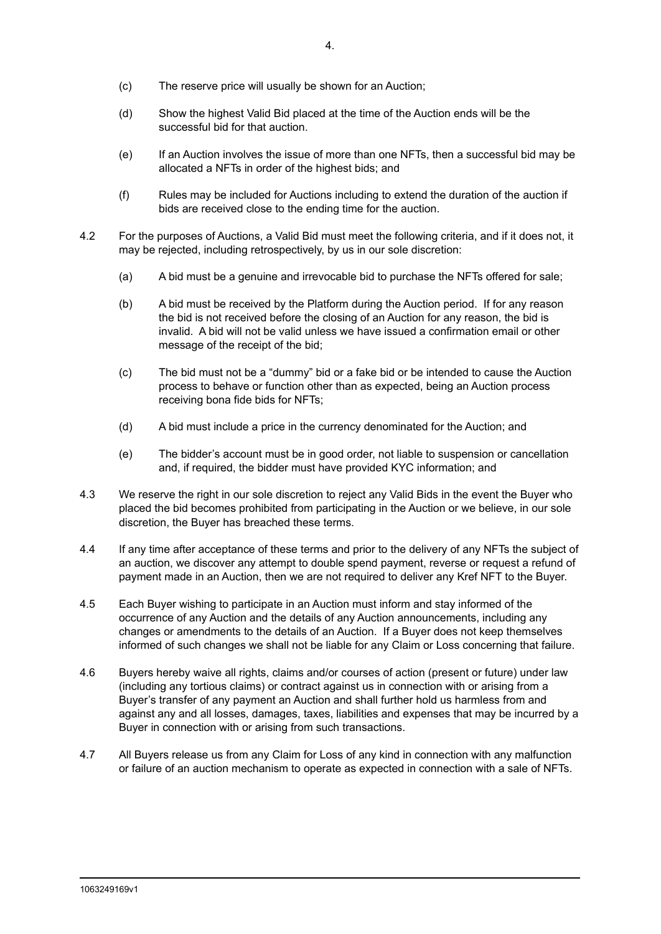- (c) The reserve price will usually be shown for an Auction;
- (d) Show the highest Valid Bid placed at the time of the Auction ends will be the successful bid for that auction.
- (e) If an Auction involves the issue of more than one NFTs, then a successful bid may be allocated a NFTs in order of the highest bids; and
- (f) Rules may be included for Auctions including to extend the duration of the auction if bids are received close to the ending time for the auction.
- 4.2 For the purposes of Auctions, a Valid Bid must meet the following criteria, and if it does not, it may be rejected, including retrospectively, by us in our sole discretion:
	- (a) A bid must be a genuine and irrevocable bid to purchase the NFTs offered for sale;
	- (b) A bid must be received by the Platform during the Auction period. If for any reason the bid is not received before the closing of an Auction for any reason, the bid is invalid. A bid will not be valid unless we have issued a confirmation email or other message of the receipt of the bid;
	- (c) The bid must not be a "dummy" bid or a fake bid or be intended to cause the Auction process to behave or function other than as expected, being an Auction process receiving bona fide bids for NFTs;
	- (d) A bid must include a price in the currency denominated for the Auction; and
	- (e) The bidder's account must be in good order, not liable to suspension or cancellation and, if required, the bidder must have provided KYC information; and
- 4.3 We reserve the right in our sole discretion to reject any Valid Bids in the event the Buyer who placed the bid becomes prohibited from participating in the Auction or we believe, in our sole discretion, the Buyer has breached these terms.
- 4.4 If any time after acceptance of these terms and prior to the delivery of any NFTs the subject of an auction, we discover any attempt to double spend payment, reverse or request a refund of payment made in an Auction, then we are not required to deliver any Kref NFT to the Buyer.
- 4.5 Each Buyer wishing to participate in an Auction must inform and stay informed of the occurrence of any Auction and the details of any Auction announcements, including any changes or amendments to the details of an Auction. If a Buyer does not keep themselves informed of such changes we shall not be liable for any Claim or Loss concerning that failure.
- 4.6 Buyers hereby waive all rights, claims and/or courses of action (present or future) under law (including any tortious claims) or contract against us in connection with or arising from a Buyer's transfer of any payment an Auction and shall further hold us harmless from and against any and all losses, damages, taxes, liabilities and expenses that may be incurred by a Buyer in connection with or arising from such transactions.
- 4.7 All Buyers release us from any Claim for Loss of any kind in connection with any malfunction or failure of an auction mechanism to operate as expected in connection with a sale of NFTs.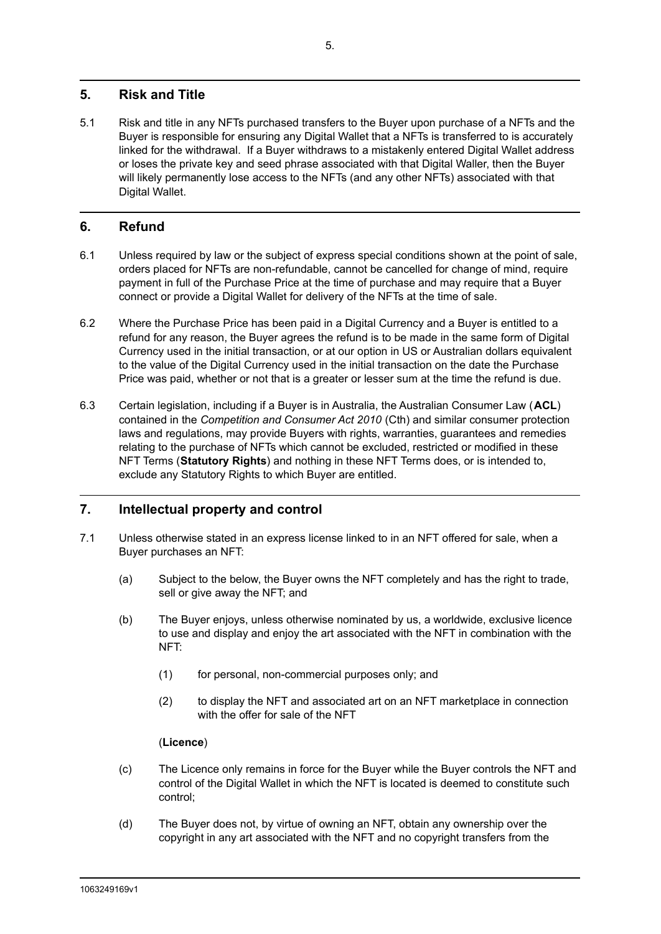# **5. Risk and Title**

5.1 Risk and title in any NFTs purchased transfers to the Buyer upon purchase of a NFTs and the Buyer is responsible for ensuring any Digital Wallet that a NFTs is transferred to is accurately linked for the withdrawal. If a Buyer withdraws to a mistakenly entered Digital Wallet address or loses the private key and seed phrase associated with that Digital Waller, then the Buyer will likely permanently lose access to the NFTs (and any other NFTs) associated with that Digital Wallet.

# **6. Refund**

- 6.1 Unless required by law or the subject of express special conditions shown at the point of sale, orders placed for NFTs are non-refundable, cannot be cancelled for change of mind, require payment in full of the Purchase Price at the time of purchase and may require that a Buyer connect or provide a Digital Wallet for delivery of the NFTs at the time of sale.
- 6.2 Where the Purchase Price has been paid in a Digital Currency and a Buyer is entitled to a refund for any reason, the Buyer agrees the refund is to be made in the same form of Digital Currency used in the initial transaction, or at our option in US or Australian dollars equivalent to the value of the Digital Currency used in the initial transaction on the date the Purchase Price was paid, whether or not that is a greater or lesser sum at the time the refund is due.
- 6.3 Certain legislation, including if a Buyer is in Australia, the Australian Consumer Law (**ACL**) contained in the *Competition and Consumer Act 2010* (Cth) and similar consumer protection laws and regulations, may provide Buyers with rights, warranties, guarantees and remedies relating to the purchase of NFTs which cannot be excluded, restricted or modified in these NFT Terms (**Statutory Rights**) and nothing in these NFT Terms does, or is intended to, exclude any Statutory Rights to which Buyer are entitled.

# **7. Intellectual property and control**

- 7.1 Unless otherwise stated in an express license linked to in an NFT offered for sale, when a Buyer purchases an NFT:
	- (a) Subject to the below, the Buyer owns the NFT completely and has the right to trade, sell or give away the NFT; and
	- (b) The Buyer enjoys, unless otherwise nominated by us, a worldwide, exclusive licence to use and display and enjoy the art associated with the NFT in combination with the NFT:
		- (1) for personal, non-commercial purposes only; and
		- (2) to display the NFT and associated art on an NFT marketplace in connection with the offer for sale of the NFT

#### (**Licence**)

- (c) The Licence only remains in force for the Buyer while the Buyer controls the NFT and control of the Digital Wallet in which the NFT is located is deemed to constitute such control;
- (d) The Buyer does not, by virtue of owning an NFT, obtain any ownership over the copyright in any art associated with the NFT and no copyright transfers from the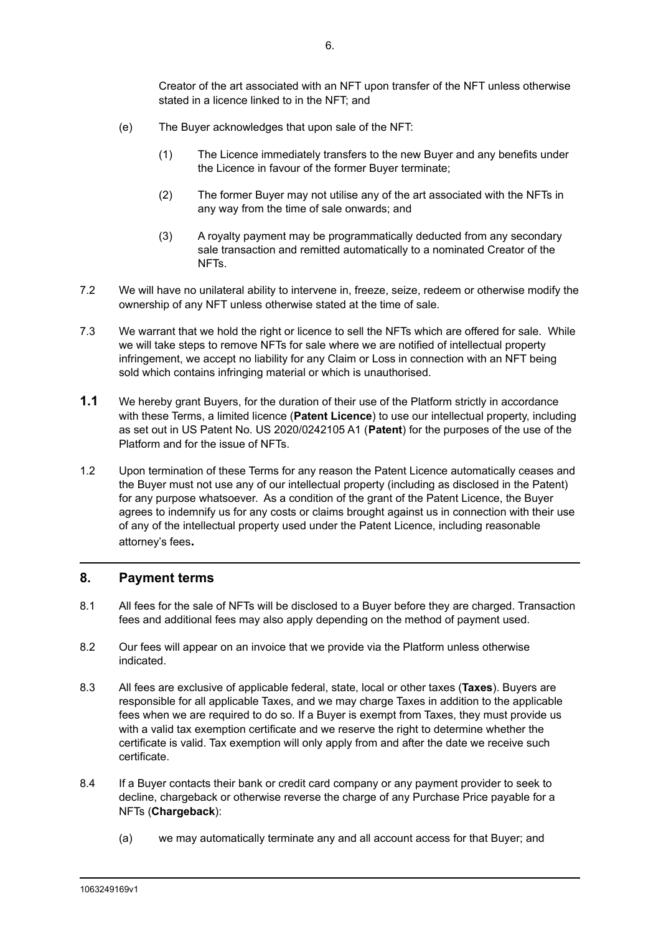Creator of the art associated with an NFT upon transfer of the NFT unless otherwise stated in a licence linked to in the NFT; and

- (e) The Buyer acknowledges that upon sale of the NFT:
	- (1) The Licence immediately transfers to the new Buyer and any benefits under the Licence in favour of the former Buyer terminate;
	- (2) The former Buyer may not utilise any of the art associated with the NFTs in any way from the time of sale onwards; and
	- (3) A royalty payment may be programmatically deducted from any secondary sale transaction and remitted automatically to a nominated Creator of the NFTs.
- 7.2 We will have no unilateral ability to intervene in, freeze, seize, redeem or otherwise modify the ownership of any NFT unless otherwise stated at the time of sale.
- 7.3 We warrant that we hold the right or licence to sell the NFTs which are offered for sale. While we will take steps to remove NFTs for sale where we are notified of intellectual property infringement, we accept no liability for any Claim or Loss in connection with an NFT being sold which contains infringing material or which is unauthorised.
- **1.1** We hereby grant Buyers, for the duration of their use of the Platform strictly in accordance with these Terms, a limited licence (**Patent Licence**) to use our intellectual property, including as set out in US Patent No. US 2020/0242105 A1 (**Patent**) for the purposes of the use of the Platform and for the issue of NFTs.
- 1.2 Upon termination of these Terms for any reason the Patent Licence automatically ceases and the Buyer must not use any of our intellectual property (including as disclosed in the Patent) for any purpose whatsoever. As a condition of the grant of the Patent Licence, the Buyer agrees to indemnify us for any costs or claims brought against us in connection with their use of any of the intellectual property used under the Patent Licence, including reasonable attorney's fees**.**

## **8. Payment terms**

- 8.1 All fees for the sale of NFTs will be disclosed to a Buyer before they are charged. Transaction fees and additional fees may also apply depending on the method of payment used.
- 8.2 Our fees will appear on an invoice that we provide via the Platform unless otherwise indicated.
- 8.3 All fees are exclusive of applicable federal, state, local or other taxes (**Taxes**). Buyers are responsible for all applicable Taxes, and we may charge Taxes in addition to the applicable fees when we are required to do so. If a Buyer is exempt from Taxes, they must provide us with a valid tax exemption certificate and we reserve the right to determine whether the certificate is valid. Tax exemption will only apply from and after the date we receive such certificate.
- 8.4 If a Buyer contacts their bank or credit card company or any payment provider to seek to decline, chargeback or otherwise reverse the charge of any Purchase Price payable for a NFTs (**Chargeback**):
	- (a) we may automatically terminate any and all account access for that Buyer; and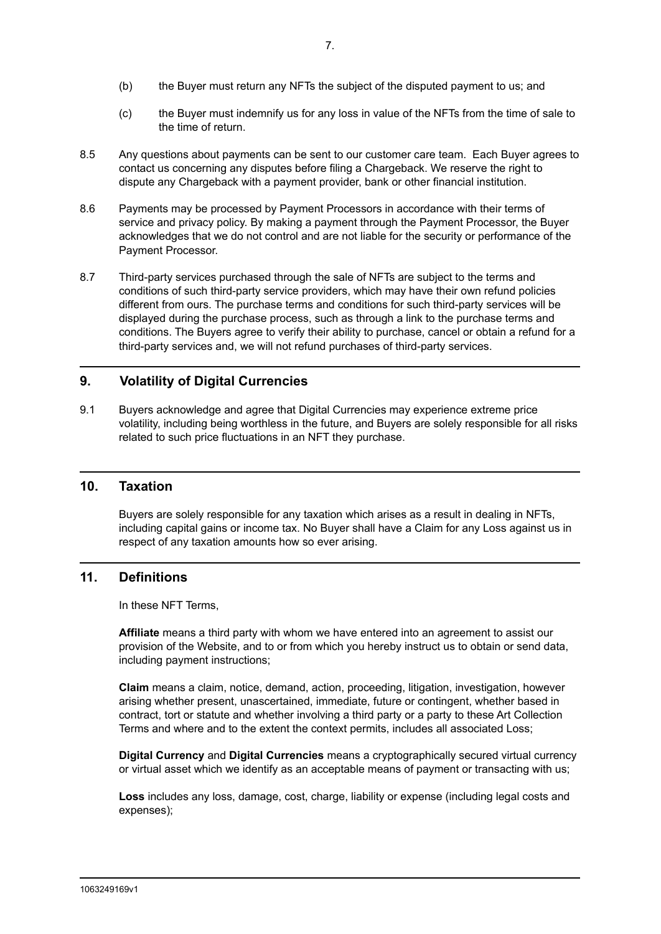- (b) the Buyer must return any NFTs the subject of the disputed payment to us; and
- (c) the Buyer must indemnify us for any loss in value of the NFTs from the time of sale to the time of return.
- 8.5 Any questions about payments can be sent to our customer care team. Each Buyer agrees to contact us concerning any disputes before filing a Chargeback. We reserve the right to dispute any Chargeback with a payment provider, bank or other financial institution.
- 8.6 Payments may be processed by Payment Processors in accordance with their terms of service and privacy policy. By making a payment through the Payment Processor, the Buyer acknowledges that we do not control and are not liable for the security or performance of the Payment Processor.
- 8.7 Third-party services purchased through the sale of NFTs are subject to the terms and conditions of such third-party service providers, which may have their own refund policies different from ours. The purchase terms and conditions for such third-party services will be displayed during the purchase process, such as through a link to the purchase terms and conditions. The Buyers agree to verify their ability to purchase, cancel or obtain a refund for a third-party services and, we will not refund purchases of third-party services.

## **9. Volatility of Digital Currencies**

9.1 Buyers acknowledge and agree that Digital Currencies may experience extreme price volatility, including being worthless in the future, and Buyers are solely responsible for all risks related to such price fluctuations in an NFT they purchase.

### **10. Taxation**

Buyers are solely responsible for any taxation which arises as a result in dealing in NFTs, including capital gains or income tax. No Buyer shall have a Claim for any Loss against us in respect of any taxation amounts how so ever arising.

#### **11. Definitions**

In these NFT Terms,

**Affiliate** means a third party with whom we have entered into an agreement to assist our provision of the Website, and to or from which you hereby instruct us to obtain or send data, including payment instructions;

**Claim** means a claim, notice, demand, action, proceeding, litigation, investigation, however arising whether present, unascertained, immediate, future or contingent, whether based in contract, tort or statute and whether involving a third party or a party to these Art Collection Terms and where and to the extent the context permits, includes all associated Loss;

**Digital Currency** and **Digital Currencies** means a cryptographically secured virtual currency or virtual asset which we identify as an acceptable means of payment or transacting with us;

**Loss** includes any loss, damage, cost, charge, liability or expense (including legal costs and expenses);